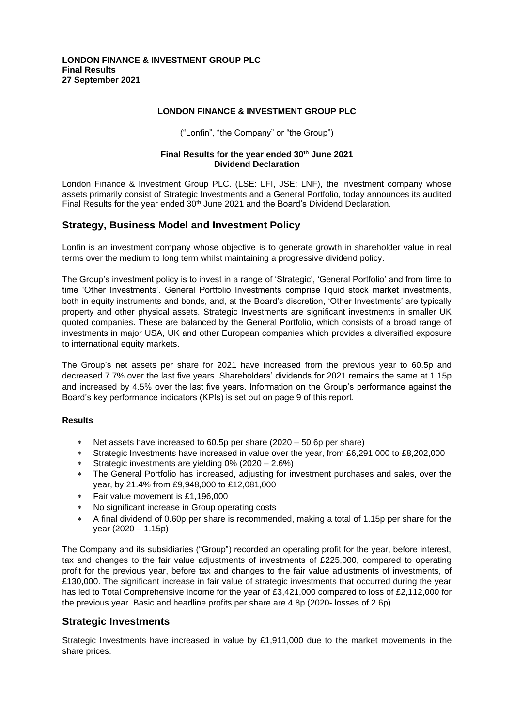### **LONDON FINANCE & INVESTMENT GROUP PLC**

("Lonfin", "the Company" or "the Group")

#### **Final Results for the year ended 30th June 2021 Dividend Declaration**

London Finance & Investment Group PLC. (LSE: LFI, JSE: LNF), the investment company whose assets primarily consist of Strategic Investments and a General Portfolio, today announces its audited Final Results for the year ended 30<sup>th</sup> June 2021 and the Board's Dividend Declaration.

### **Strategy, Business Model and Investment Policy**

Lonfin is an investment company whose objective is to generate growth in shareholder value in real terms over the medium to long term whilst maintaining a progressive dividend policy.

The Group's investment policy is to invest in a range of 'Strategic', 'General Portfolio' and from time to time 'Other Investments'. General Portfolio Investments comprise liquid stock market investments, both in equity instruments and bonds, and, at the Board's discretion, 'Other Investments' are typically property and other physical assets. Strategic Investments are significant investments in smaller UK quoted companies. These are balanced by the General Portfolio, which consists of a broad range of investments in major USA, UK and other European companies which provides a diversified exposure to international equity markets.

The Group's net assets per share for 2021 have increased from the previous year to 60.5p and decreased 7.7% over the last five years. Shareholders' dividends for 2021 remains the same at 1.15p and increased by 4.5% over the last five years. Information on the Group's performance against the Board's key performance indicators (KPIs) is set out on page 9 of this report.

#### **Results**

- Net assets have increased to 60.5p per share (2020 50.6p per share)
- Strategic Investments have increased in value over the year, from £6,291,000 to £8,202,000
- Strategic investments are yielding 0% (2020 2.6%)
- The General Portfolio has increased, adjusting for investment purchases and sales, over the year, by 21.4% from £9,948,000 to £12,081,000
- Fair value movement is £1,196,000
- No significant increase in Group operating costs
- A final dividend of 0.60p per share is recommended, making a total of 1.15p per share for the year (2020 – 1.15p)

The Company and its subsidiaries ("Group") recorded an operating profit for the year, before interest, tax and changes to the fair value adjustments of investments of £225,000, compared to operating profit for the previous year, before tax and changes to the fair value adjustments of investments, of £130,000. The significant increase in fair value of strategic investments that occurred during the year has led to Total Comprehensive income for the year of £3,421,000 compared to loss of £2,112,000 for the previous year. Basic and headline profits per share are 4.8p (2020- losses of 2.6p).

### **Strategic Investments**

Strategic Investments have increased in value by £1,911,000 due to the market movements in the share prices.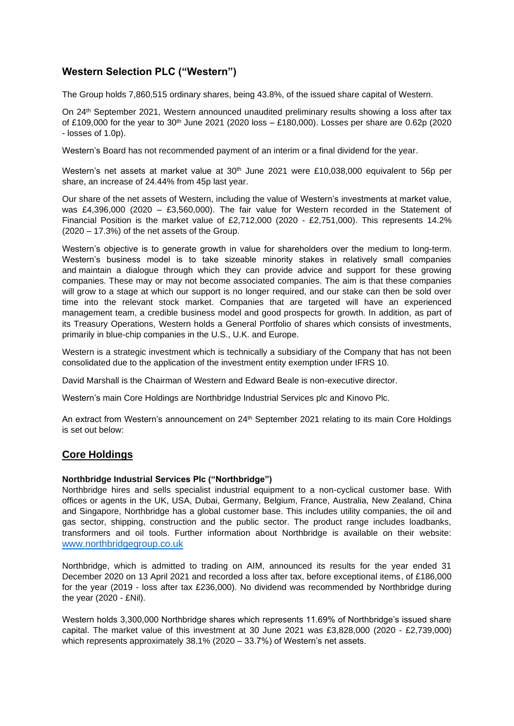# **Western Selection PLC ("Western")**

The Group holds 7,860,515 ordinary shares, being 43.8%, of the issued share capital of Western.

On 24th September 2021, Western announced unaudited preliminary results showing a loss after tax of £109,000 for the year to 30<sup>th</sup> June 2021 (2020 loss – £180,000). Losses per share are 0.62p (2020 - losses of 1.0p).

Western's Board has not recommended payment of an interim or a final dividend for the year.

Western's net assets at market value at  $30<sup>th</sup>$  June 2021 were £10,038,000 equivalent to 56p per share, an increase of 24.44% from 45p last year.

Our share of the net assets of Western, including the value of Western's investments at market value, was £4,396,000 (2020 – £3,560,000). The fair value for Western recorded in the Statement of Financial Position is the market value of £2,712,000 (2020 - £2,751,000). This represents 14.2% (2020 – 17.3%) of the net assets of the Group.

Western's objective is to generate growth in value for shareholders over the medium to long-term. Western's business model is to take sizeable minority stakes in relatively small companies and maintain a dialogue through which they can provide advice and support for these growing companies. These may or may not become associated companies. The aim is that these companies will grow to a stage at which our support is no longer required, and our stake can then be sold over time into the relevant stock market. Companies that are targeted will have an experienced management team, a credible business model and good prospects for growth. In addition, as part of its Treasury Operations, Western holds a General Portfolio of shares which consists of investments, primarily in blue-chip companies in the U.S., U.K. and Europe.

Western is a strategic investment which is technically a subsidiary of the Company that has not been consolidated due to the application of the investment entity exemption under IFRS 10.

David Marshall is the Chairman of Western and Edward Beale is non-executive director.

Western's main Core Holdings are Northbridge Industrial Services plc and Kinovo Plc.

An extract from Western's announcement on 24<sup>th</sup> September 2021 relating to its main Core Holdings is set out below:

### **Core Holdings**

#### **Northbridge Industrial Services Plc ("Northbridge")**

Northbridge hires and sells specialist industrial equipment to a non-cyclical customer base. With offices or agents in the UK, USA, Dubai, Germany, Belgium, France, Australia, New Zealand, China and Singapore, Northbridge has a global customer base. This includes utility companies, the oil and gas sector, shipping, construction and the public sector. The product range includes loadbanks, transformers and oil tools. Further information about Northbridge is available on their website: [www.northbridgegroup.co.uk](http://www.northbridgegroup.co.uk/)

Northbridge, which is admitted to trading on AIM, announced its results for the year ended 31 December 2020 on 13 April 2021 and recorded a loss after tax, before exceptional items, of £186,000 for the year (2019 - loss after tax £236,000). No dividend was recommended by Northbridge during the year (2020 - £Nil).

Western holds 3,300,000 Northbridge shares which represents 11.69% of Northbridge's issued share capital. The market value of this investment at 30 June 2021 was £3,828,000 (2020 - £2,739,000) which represents approximately 38.1% (2020 – 33.7%) of Western's net assets.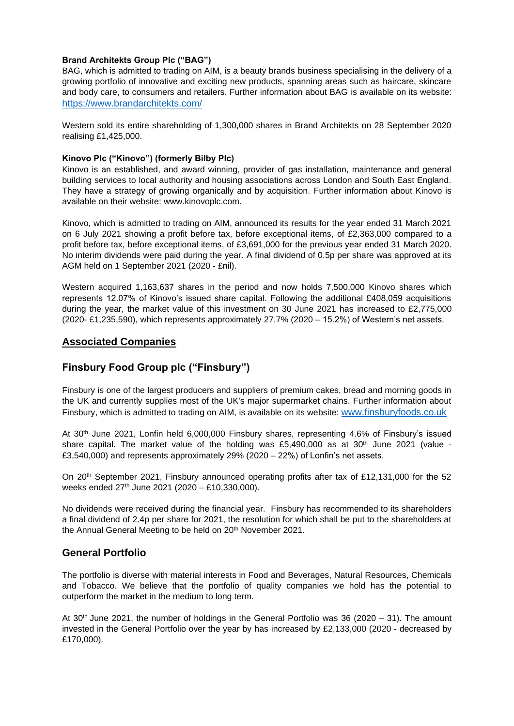#### **Brand Architekts Group Plc ("BAG")**

BAG, which is admitted to trading on AIM, is a beauty brands business specialising in the delivery of a growing portfolio of innovative and exciting new products, spanning areas such as haircare, skincare and body care, to consumers and retailers. Further information about BAG is available on its website: https://www.brandarchitekts.com/

Western sold its entire shareholding of 1,300,000 shares in Brand Architekts on 28 September 2020 realising £1,425,000.

#### **Kinovo Plc ("Kinovo") (formerly Bilby Plc)**

Kinovo is an established, and award winning, provider of gas installation, maintenance and general building services to local authority and housing associations across London and South East England. They have a strategy of growing organically and by acquisition. Further information about Kinovo is available on their website: www.kinovoplc.com.

Kinovo, which is admitted to trading on AIM, announced its results for the year ended 31 March 2021 on 6 July 2021 showing a profit before tax, before exceptional items, of £2,363,000 compared to a profit before tax, before exceptional items, of £3,691,000 for the previous year ended 31 March 2020. No interim dividends were paid during the year. A final dividend of 0.5p per share was approved at its AGM held on 1 September 2021 (2020 - £nil).

Western acquired 1,163,637 shares in the period and now holds 7,500,000 Kinovo shares which represents 12.07% of Kinovo's issued share capital. Following the additional £408,059 acquisitions during the year, the market value of this investment on 30 June 2021 has increased to £2,775,000 (2020- £1,235,590), which represents approximately 27.7% (2020 – 15.2%) of Western's net assets.

## **Associated Companies**

# **Finsbury Food Group plc ("Finsbury")**

Finsbury is one of the largest producers and suppliers of premium cakes, bread and morning goods in the UK and currently supplies most of the UK's major supermarket chains. Further information about Finsbury, which is admitted to trading on AIM, is available on its website: [www.finsburyfoods.co.uk](http://www.finsburyfoods.co.uk/)

At 30th June 2021, Lonfin held 6,000,000 Finsbury shares, representing 4.6% of Finsbury's issued share capital. The market value of the holding was £5,490,000 as at  $30<sup>th</sup>$  June 2021 (value -£3,540,000) and represents approximately 29% (2020 – 22%) of Lonfin's net assets.

On 20<sup>th</sup> September 2021, Finsbury announced operating profits after tax of £12,131,000 for the 52 weeks ended 27<sup>th</sup> June 2021 (2020 – £10,330,000).

No dividends were received during the financial year. Finsbury has recommended to its shareholders a final dividend of 2.4p per share for 2021, the resolution for which shall be put to the shareholders at the Annual General Meeting to be held on 20<sup>th</sup> November 2021.

## **General Portfolio**

The portfolio is diverse with material interests in Food and Beverages, Natural Resources, Chemicals and Tobacco. We believe that the portfolio of quality companies we hold has the potential to outperform the market in the medium to long term.

At 30<sup>th</sup> June 2021, the number of holdings in the General Portfolio was 36 (2020 – 31). The amount invested in the General Portfolio over the year by has increased by £2,133,000 (2020 - decreased by £170,000).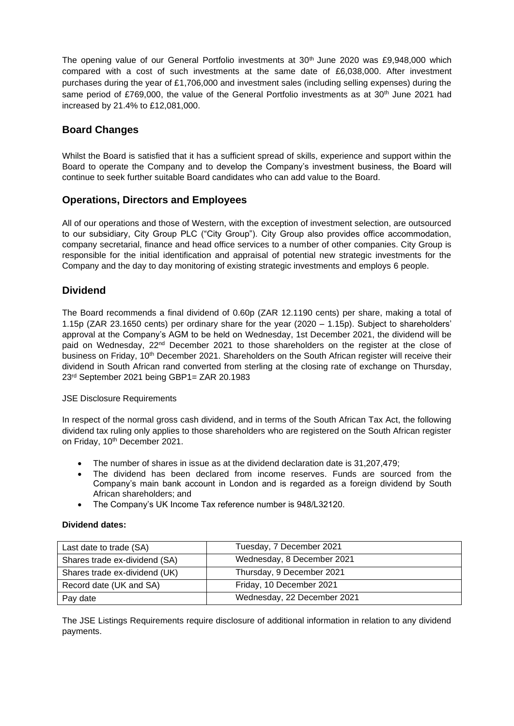The opening value of our General Portfolio investments at  $30<sup>th</sup>$  June 2020 was £9,948,000 which compared with a cost of such investments at the same date of £6,038,000. After investment purchases during the year of £1,706,000 and investment sales (including selling expenses) during the same period of £769,000, the value of the General Portfolio investments as at 30<sup>th</sup> June 2021 had increased by 21.4% to £12,081,000.

# **Board Changes**

Whilst the Board is satisfied that it has a sufficient spread of skills, experience and support within the Board to operate the Company and to develop the Company's investment business, the Board will continue to seek further suitable Board candidates who can add value to the Board.

## **Operations, Directors and Employees**

All of our operations and those of Western, with the exception of investment selection, are outsourced to our subsidiary, City Group PLC ("City Group"). City Group also provides office accommodation, company secretarial, finance and head office services to a number of other companies. City Group is responsible for the initial identification and appraisal of potential new strategic investments for the Company and the day to day monitoring of existing strategic investments and employs 6 people.

## **Dividend**

The Board recommends a final dividend of 0.60p (ZAR 12.1190 cents) per share, making a total of 1.15p (ZAR 23.1650 cents) per ordinary share for the year (2020 – 1.15p). Subject to shareholders' approval at the Company's AGM to be held on Wednesday, 1st December 2021, the dividend will be paid on Wednesday, 22nd December 2021 to those shareholders on the register at the close of business on Friday, 10<sup>th</sup> December 2021. Shareholders on the South African register will receive their dividend in South African rand converted from sterling at the closing rate of exchange on Thursday, 23rd September 2021 being GBP1= ZAR 20.1983

JSE Disclosure Requirements

In respect of the normal gross cash dividend, and in terms of the South African Tax Act, the following dividend tax ruling only applies to those shareholders who are registered on the South African register on Friday, 10<sup>th</sup> December 2021.

- The number of shares in issue as at the dividend declaration date is 31,207,479;
- The dividend has been declared from income reserves. Funds are sourced from the Company's main bank account in London and is regarded as a foreign dividend by South African shareholders; and
- The Company's UK Income Tax reference number is 948/L32120.

#### **Dividend dates:**

| Last date to trade (SA)       | Tuesday, 7 December 2021    |
|-------------------------------|-----------------------------|
| Shares trade ex-dividend (SA) | Wednesday, 8 December 2021  |
| Shares trade ex-dividend (UK) | Thursday, 9 December 2021   |
| Record date (UK and SA)       | Friday, 10 December 2021    |
| Pay date                      | Wednesday, 22 December 2021 |

The JSE Listings Requirements require disclosure of additional information in relation to any dividend payments.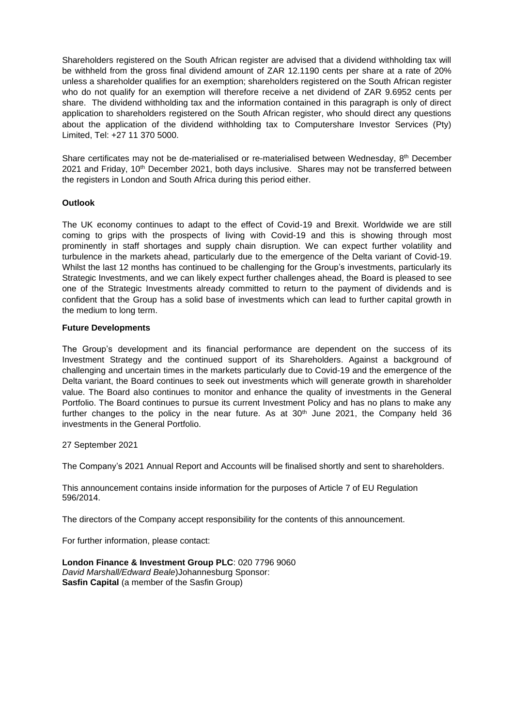Shareholders registered on the South African register are advised that a dividend withholding tax will be withheld from the gross final dividend amount of ZAR 12.1190 cents per share at a rate of 20% unless a shareholder qualifies for an exemption; shareholders registered on the South African register who do not qualify for an exemption will therefore receive a net dividend of ZAR 9.6952 cents per share. The dividend withholding tax and the information contained in this paragraph is only of direct application to shareholders registered on the South African register, who should direct any questions about the application of the dividend withholding tax to Computershare Investor Services (Pty) Limited, Tel: +27 11 370 5000.

Share certificates may not be de-materialised or re-materialised between Wednesday,  $8<sup>th</sup>$  December 2021 and Friday, 10<sup>th</sup> December 2021, both days inclusive. Shares may not be transferred between the registers in London and South Africa during this period either.

#### **Outlook**

The UK economy continues to adapt to the effect of Covid-19 and Brexit. Worldwide we are still coming to grips with the prospects of living with Covid-19 and this is showing through most prominently in staff shortages and supply chain disruption. We can expect further volatility and turbulence in the markets ahead, particularly due to the emergence of the Delta variant of Covid-19. Whilst the last 12 months has continued to be challenging for the Group's investments, particularly its Strategic Investments, and we can likely expect further challenges ahead, the Board is pleased to see one of the Strategic Investments already committed to return to the payment of dividends and is confident that the Group has a solid base of investments which can lead to further capital growth in the medium to long term.

#### **Future Developments**

The Group's development and its financial performance are dependent on the success of its Investment Strategy and the continued support of its Shareholders. Against a background of challenging and uncertain times in the markets particularly due to Covid-19 and the emergence of the Delta variant, the Board continues to seek out investments which will generate growth in shareholder value. The Board also continues to monitor and enhance the quality of investments in the General Portfolio. The Board continues to pursue its current Investment Policy and has no plans to make any further changes to the policy in the near future. As at  $30<sup>th</sup>$  June 2021, the Company held 36 investments in the General Portfolio.

27 September 2021

The Company's 2021 Annual Report and Accounts will be finalised shortly and sent to shareholders.

This announcement contains inside information for the purposes of Article 7 of EU Regulation 596/2014.

The directors of the Company accept responsibility for the contents of this announcement.

For further information, please contact:

**London Finance & Investment Group PLC**: 020 7796 9060 *David Marshall/Edward Beale*)Johannesburg Sponsor: **Sasfin Capital** (a member of the Sasfin Group)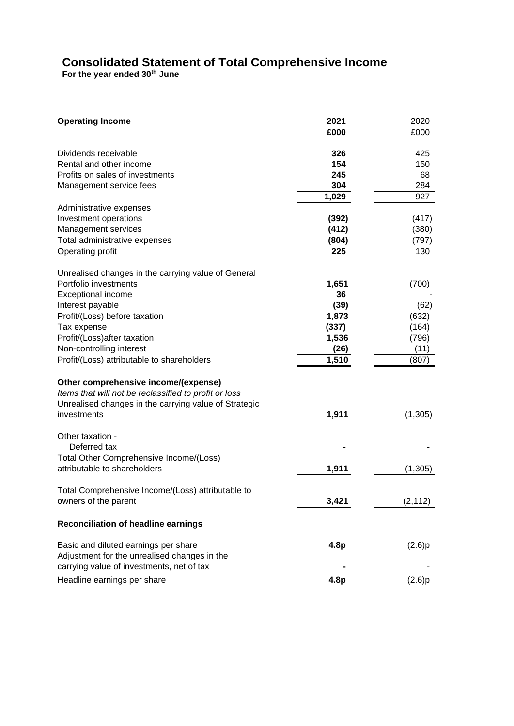# **Consolidated Statement of Total Comprehensive Income**

**For the year ended 30th June** 

| <b>Operating Income</b>                                                 | 2021<br>£000     | 2020<br>£000 |
|-------------------------------------------------------------------------|------------------|--------------|
| Dividends receivable                                                    | 326              | 425          |
| Rental and other income                                                 | 154              | 150          |
| Profits on sales of investments                                         | 245              | 68           |
| Management service fees                                                 | 304              | 284          |
|                                                                         | 1,029            | 927          |
| Administrative expenses                                                 |                  |              |
| Investment operations                                                   | (392)            | (417)        |
| Management services                                                     | (412)            | (380)        |
| Total administrative expenses                                           | (804)            | (797)        |
| Operating profit                                                        | 225              | 130          |
| Unrealised changes in the carrying value of General                     |                  |              |
| Portfolio investments                                                   | 1,651            | (700)        |
| <b>Exceptional income</b>                                               | 36               |              |
| Interest payable                                                        | (39)             | (62)         |
| Profit/(Loss) before taxation                                           | 1,873            | (632)        |
| Tax expense                                                             | (337)            | (164)        |
| Profit/(Loss) after taxation                                            | 1,536            | (796)        |
| Non-controlling interest                                                | (26)             | (11)         |
| Profit/(Loss) attributable to shareholders                              | 1,510            | (807)        |
| Other comprehensive income/(expense)                                    |                  |              |
| Items that will not be reclassified to profit or loss                   |                  |              |
| Unrealised changes in the carrying value of Strategic                   |                  |              |
| investments                                                             | 1,911            | (1,305)      |
| Other taxation -                                                        |                  |              |
| Deferred tax                                                            |                  |              |
| Total Other Comprehensive Income/(Loss)<br>attributable to shareholders | 1,911            | (1, 305)     |
| Total Comprehensive Income/(Loss) attributable to                       |                  |              |
| owners of the parent                                                    | 3,421            | (2, 112)     |
| <b>Reconciliation of headline earnings</b>                              |                  |              |
| Basic and diluted earnings per share                                    | 4.8 <sub>p</sub> | (2.6)p       |
| Adjustment for the unrealised changes in the                            |                  |              |
| carrying value of investments, net of tax                               |                  |              |
| Headline earnings per share                                             | 4.8 <sub>p</sub> | (2.6)p       |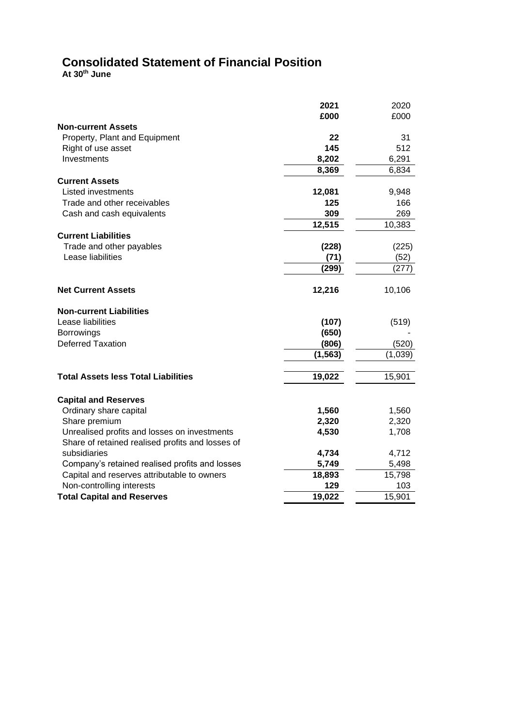# **Consolidated Statement of Financial Position**

**At 30th June**

|                                                                                                  | 2021           | 2020           |
|--------------------------------------------------------------------------------------------------|----------------|----------------|
|                                                                                                  | £000           | £000           |
| <b>Non-current Assets</b>                                                                        |                |                |
| Property, Plant and Equipment                                                                    | 22             | 31             |
| Right of use asset                                                                               | 145            | 512            |
| Investments                                                                                      | 8,202          | 6,291          |
|                                                                                                  | 8,369          | 6,834          |
| <b>Current Assets</b>                                                                            |                |                |
| Listed investments                                                                               | 12,081         | 9,948          |
| Trade and other receivables                                                                      | 125            | 166            |
| Cash and cash equivalents                                                                        | 309            | 269            |
|                                                                                                  | 12,515         | 10,383         |
| <b>Current Liabilities</b>                                                                       |                |                |
| Trade and other payables                                                                         | (228)          | (225)          |
| Lease liabilities                                                                                | (71)           | (52)           |
|                                                                                                  | (299)          | (277)          |
| <b>Net Current Assets</b>                                                                        | 12,216         | 10,106         |
| <b>Non-current Liabilities</b>                                                                   |                |                |
| Lease liabilities                                                                                | (107)          | (519)          |
| <b>Borrowings</b>                                                                                | (650)          |                |
| <b>Deferred Taxation</b>                                                                         | (806)          | (520)          |
|                                                                                                  | (1, 563)       | (1,039)        |
| <b>Total Assets less Total Liabilities</b>                                                       | 19,022         | 15,901         |
|                                                                                                  |                |                |
| <b>Capital and Reserves</b>                                                                      |                |                |
| Ordinary share capital                                                                           | 1,560<br>2,320 | 1,560          |
| Share premium                                                                                    | 4,530          | 2,320<br>1,708 |
| Unrealised profits and losses on investments<br>Share of retained realised profits and losses of |                |                |
| subsidiaries                                                                                     | 4,734          | 4,712          |
| Company's retained realised profits and losses                                                   | 5,749          | 5,498          |
| Capital and reserves attributable to owners                                                      | 18,893         | 15,798         |
| Non-controlling interests                                                                        | 129            | 103            |
| <b>Total Capital and Reserves</b>                                                                | 19,022         | 15,901         |
|                                                                                                  |                |                |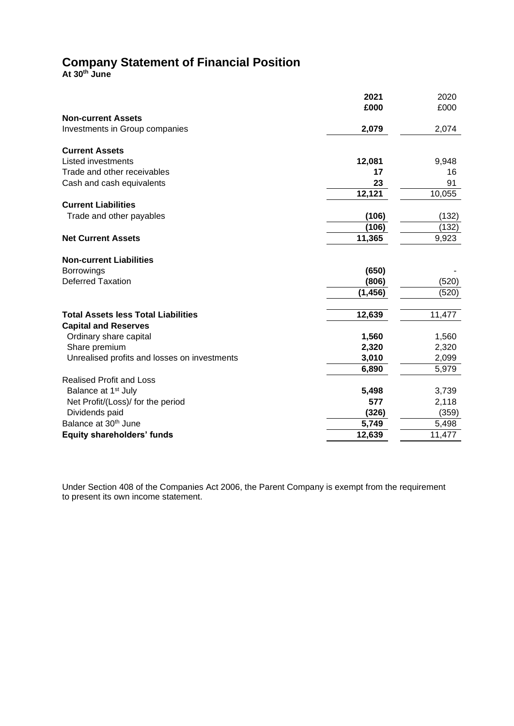# **Company Statement of Financial Position**

**At 30th June**

|                                              | 2021     | 2020   |
|----------------------------------------------|----------|--------|
|                                              | £000     | £000   |
| <b>Non-current Assets</b>                    |          |        |
| Investments in Group companies               | 2,079    | 2,074  |
| <b>Current Assets</b>                        |          |        |
| <b>Listed investments</b>                    | 12,081   | 9,948  |
| Trade and other receivables                  | 17       | 16     |
| Cash and cash equivalents                    | 23       | 91     |
|                                              | 12,121   | 10,055 |
| <b>Current Liabilities</b>                   |          |        |
| Trade and other payables                     | (106)    | (132)  |
|                                              | (106)    | (132)  |
| <b>Net Current Assets</b>                    | 11,365   | 9,923  |
| <b>Non-current Liabilities</b>               |          |        |
| <b>Borrowings</b>                            | (650)    |        |
| <b>Deferred Taxation</b>                     | (806)    | (520)  |
|                                              | (1, 456) | (520)  |
| <b>Total Assets less Total Liabilities</b>   | 12,639   | 11,477 |
| <b>Capital and Reserves</b>                  |          |        |
| Ordinary share capital                       | 1,560    | 1,560  |
| Share premium                                | 2,320    | 2,320  |
| Unrealised profits and losses on investments | 3,010    | 2,099  |
|                                              | 6,890    | 5,979  |
| <b>Realised Profit and Loss</b>              |          |        |
| Balance at 1 <sup>st</sup> July              | 5,498    | 3,739  |
| Net Profit/(Loss)/ for the period            | 577      | 2,118  |
| Dividends paid                               | (326)    | (359)  |
| Balance at 30 <sup>th</sup> June             | 5,749    | 5,498  |
| <b>Equity shareholders' funds</b>            | 12,639   | 11,477 |

Under Section 408 of the Companies Act 2006, the Parent Company is exempt from the requirement to present its own income statement.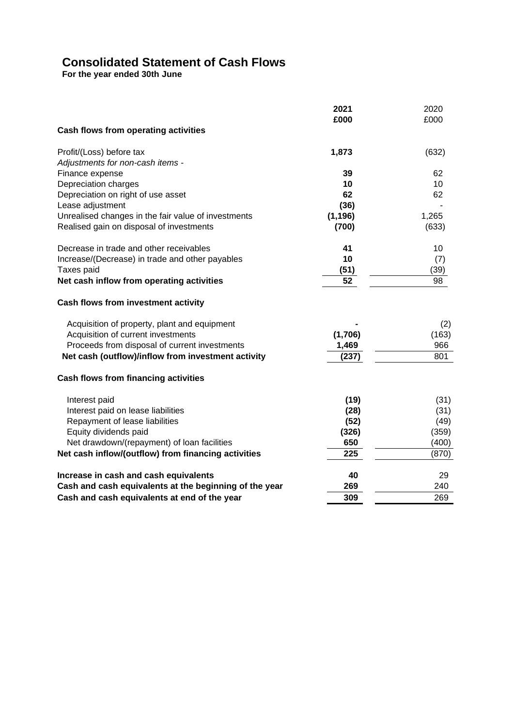# **Consolidated Statement of Cash Flows**

**For the year ended 30th June**

|                                                        | 2021<br>£000 | 2020<br>£000 |
|--------------------------------------------------------|--------------|--------------|
| Cash flows from operating activities                   |              |              |
| Profit/(Loss) before tax                               | 1,873        | (632)        |
| Adjustments for non-cash items -                       |              |              |
| Finance expense                                        | 39           | 62           |
| Depreciation charges                                   | 10           | 10           |
| Depreciation on right of use asset                     | 62           | 62           |
| Lease adjustment                                       | (36)         |              |
| Unrealised changes in the fair value of investments    | (1, 196)     | 1,265        |
| Realised gain on disposal of investments               | (700)        | (633)        |
| Decrease in trade and other receivables                | 41           | 10           |
| Increase/(Decrease) in trade and other payables        | 10           | (7)          |
| Taxes paid                                             | (51)         | (39)         |
| Net cash inflow from operating activities              | 52           | 98           |
| Cash flows from investment activity                    |              |              |
| Acquisition of property, plant and equipment           |              | (2)          |
| Acquisition of current investments                     | (1,706)      | (163)        |
| Proceeds from disposal of current investments          | 1,469        | 966          |
| Net cash (outflow)/inflow from investment activity     | (237)        | 801          |
| <b>Cash flows from financing activities</b>            |              |              |
| Interest paid                                          | (19)         | (31)         |
| Interest paid on lease liabilities                     | (28)         | (31)         |
| Repayment of lease liabilities                         | (52)         | (49)         |
| Equity dividends paid                                  | (326)        | (359)        |
| Net drawdown/(repayment) of loan facilities            | 650          | (400)        |
| Net cash inflow/(outflow) from financing activities    | 225          | (870)        |
| Increase in cash and cash equivalents                  | 40           | 29           |
| Cash and cash equivalents at the beginning of the year | 269          | 240          |
| Cash and cash equivalents at end of the year           | 309          | 269          |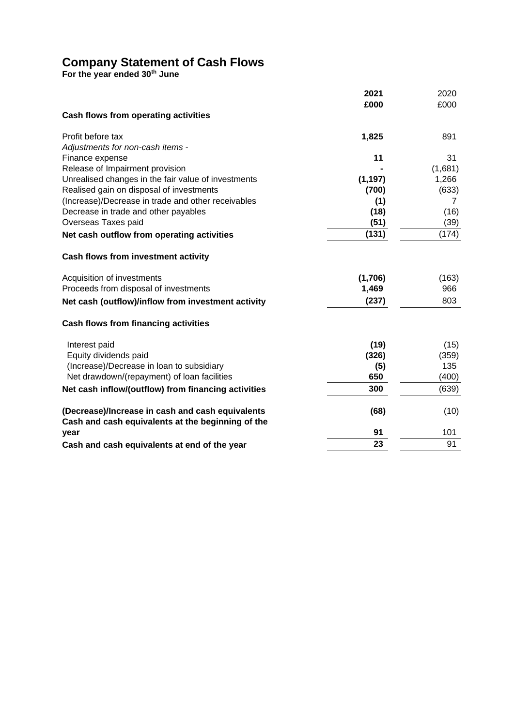# **Company Statement of Cash Flows**

**For the year ended 30th June**

|                                                     | 2021     | 2020    |
|-----------------------------------------------------|----------|---------|
|                                                     | £000     | £000    |
| Cash flows from operating activities                |          |         |
| Profit before tax                                   | 1,825    | 891     |
| Adjustments for non-cash items -                    |          |         |
| Finance expense                                     | 11       | 31      |
| Release of Impairment provision                     |          | (1,681) |
| Unrealised changes in the fair value of investments | (1, 197) | 1,266   |
| Realised gain on disposal of investments            | (700)    | (633)   |
| (Increase)/Decrease in trade and other receivables  | (1)      | 7       |
| Decrease in trade and other payables                | (18)     | (16)    |
| Overseas Taxes paid                                 | (51)     | (39)    |
| Net cash outflow from operating activities          | (131)    | (174)   |
| Cash flows from investment activity                 |          |         |
| Acquisition of investments                          | (1,706)  | (163)   |
| Proceeds from disposal of investments               | 1,469    | 966     |
| Net cash (outflow)/inflow from investment activity  | (237)    | 803     |
| Cash flows from financing activities                |          |         |
| Interest paid                                       | (19)     | (15)    |
| Equity dividends paid                               | (326)    | (359)   |
| (Increase)/Decrease in loan to subsidiary           | (5)      | 135     |
| Net drawdown/(repayment) of loan facilities         | 650      | (400)   |
| Net cash inflow/(outflow) from financing activities | 300      | (639)   |
| (Decrease)/Increase in cash and cash equivalents    | (68)     | (10)    |
| Cash and cash equivalents at the beginning of the   |          |         |
| year                                                | 91       | 101     |
| Cash and cash equivalents at end of the year        | 23       | 91      |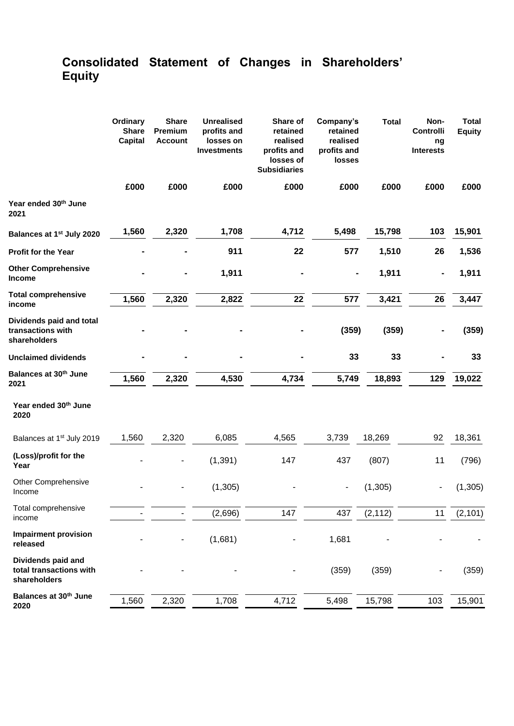# **Consolidated Statement of Changes in Shareholders' Equity**

|                                                               | Ordinary<br><b>Share</b><br><b>Capital</b> | <b>Share</b><br>Premium<br><b>Account</b> | <b>Unrealised</b><br>profits and<br>losses on<br><b>Investments</b> | Share of<br>retained<br>realised<br>profits and<br>losses of<br><b>Subsidiaries</b> | Company's<br>retained<br>realised<br>profits and<br>losses | <b>Total</b> | Non-<br>Controlli<br>ng<br><b>Interests</b> | <b>Total</b><br><b>Equity</b> |
|---------------------------------------------------------------|--------------------------------------------|-------------------------------------------|---------------------------------------------------------------------|-------------------------------------------------------------------------------------|------------------------------------------------------------|--------------|---------------------------------------------|-------------------------------|
|                                                               | £000                                       | £000                                      | £000                                                                | £000                                                                                | £000                                                       | £000         | £000                                        | £000                          |
| Year ended 30th June<br>2021                                  |                                            |                                           |                                                                     |                                                                                     |                                                            |              |                                             |                               |
| Balances at 1 <sup>st</sup> July 2020                         | 1,560                                      | 2,320                                     | 1,708                                                               | 4,712                                                                               | 5,498                                                      | 15,798       | 103                                         | 15,901                        |
| <b>Profit for the Year</b>                                    |                                            |                                           | 911                                                                 | 22                                                                                  | 577                                                        | 1,510        | 26                                          | 1,536                         |
| <b>Other Comprehensive</b><br><b>Income</b>                   |                                            |                                           | 1,911                                                               |                                                                                     |                                                            | 1,911        | $\blacksquare$                              | 1,911                         |
| <b>Total comprehensive</b><br>income                          | 1,560                                      | 2,320                                     | 2,822                                                               | 22                                                                                  | 577                                                        | 3,421        | 26                                          | 3,447                         |
| Dividends paid and total<br>transactions with<br>shareholders |                                            |                                           |                                                                     |                                                                                     | (359)                                                      | (359)        |                                             | (359)                         |
| <b>Unclaimed dividends</b>                                    |                                            |                                           |                                                                     |                                                                                     | 33                                                         | 33           |                                             | 33                            |
| Balances at 30 <sup>th</sup> June<br>2021                     | 1,560                                      | 2,320                                     | 4,530                                                               | 4,734                                                                               | 5,749                                                      | 18,893       | 129                                         | 19,022                        |
| Year ended 30th June<br>2020                                  |                                            |                                           |                                                                     |                                                                                     |                                                            |              |                                             |                               |
| Balances at 1 <sup>st</sup> July 2019                         | 1,560                                      | 2,320                                     | 6,085                                                               | 4,565                                                                               | 3,739                                                      | 18,269       | 92                                          | 18,361                        |
| (Loss)/profit for the<br>Year                                 |                                            |                                           | (1, 391)                                                            | 147                                                                                 | 437                                                        | (807)        | 11                                          | (796)                         |
| <b>Other Comprehensive</b><br>Income                          |                                            |                                           | (1, 305)                                                            |                                                                                     |                                                            | (1, 305)     |                                             | (1, 305)                      |
| Total comprehensive<br>income                                 |                                            |                                           | (2,696)                                                             | 147                                                                                 | 437                                                        | (2, 112)     | 11                                          | (2, 101)                      |
| <b>Impairment provision</b><br>released                       |                                            |                                           | (1,681)                                                             |                                                                                     | 1,681                                                      |              |                                             |                               |
| Dividends paid and<br>total transactions with<br>shareholders |                                            |                                           |                                                                     |                                                                                     | (359)                                                      | (359)        |                                             | (359)                         |
| Balances at 30 <sup>th</sup> June<br>2020                     | 1,560                                      | 2,320                                     | 1,708                                                               | 4,712                                                                               | 5,498                                                      | 15,798       | 103                                         | 15,901                        |
|                                                               |                                            |                                           |                                                                     |                                                                                     |                                                            |              |                                             |                               |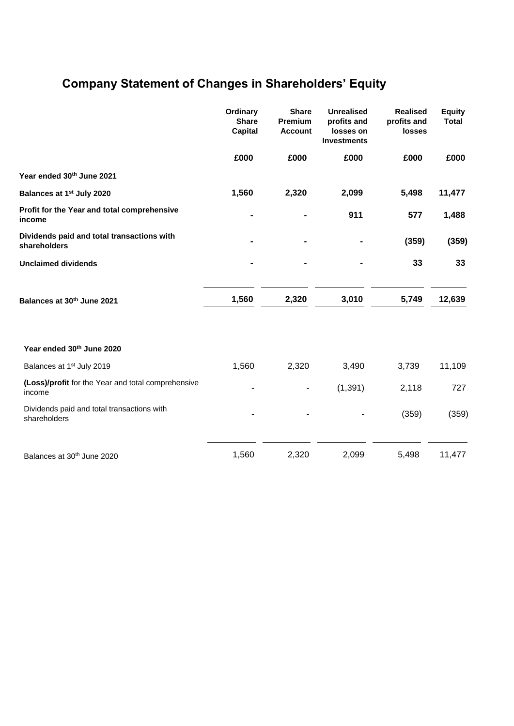# **Company Statement of Changes in Shareholders' Equity**

|                                                              | Ordinary<br><b>Share</b><br><b>Capital</b> | <b>Share</b><br>Premium<br><b>Account</b> | <b>Unrealised</b><br>profits and<br>losses on<br><b>Investments</b> | <b>Realised</b><br>profits and<br>losses | <b>Equity</b><br><b>Total</b> |
|--------------------------------------------------------------|--------------------------------------------|-------------------------------------------|---------------------------------------------------------------------|------------------------------------------|-------------------------------|
|                                                              | £000                                       | £000                                      | £000                                                                | £000                                     | £000                          |
| Year ended 30th June 2021                                    |                                            |                                           |                                                                     |                                          |                               |
| Balances at 1 <sup>st</sup> July 2020                        | 1,560                                      | 2,320                                     | 2,099                                                               | 5,498                                    | 11,477                        |
| Profit for the Year and total comprehensive<br>income        |                                            |                                           | 911                                                                 | 577                                      | 1,488                         |
| Dividends paid and total transactions with<br>shareholders   |                                            |                                           |                                                                     | (359)                                    | (359)                         |
| <b>Unclaimed dividends</b>                                   |                                            |                                           |                                                                     | 33                                       | 33                            |
| Balances at 30th June 2021                                   | 1,560                                      | 2,320                                     | 3,010                                                               | 5,749                                    | 12,639                        |
| Year ended 30th June 2020                                    |                                            |                                           |                                                                     |                                          |                               |
| Balances at 1 <sup>st</sup> July 2019                        | 1,560                                      | 2,320                                     | 3,490                                                               | 3,739                                    | 11,109                        |
| (Loss)/profit for the Year and total comprehensive<br>income |                                            | ۰                                         | (1, 391)                                                            | 2,118                                    | 727                           |
| Dividends paid and total transactions with<br>shareholders   |                                            |                                           |                                                                     | (359)                                    | (359)                         |
| Balances at 30 <sup>th</sup> June 2020                       | 1,560                                      | 2,320                                     | 2,099                                                               | 5,498                                    | 11,477                        |